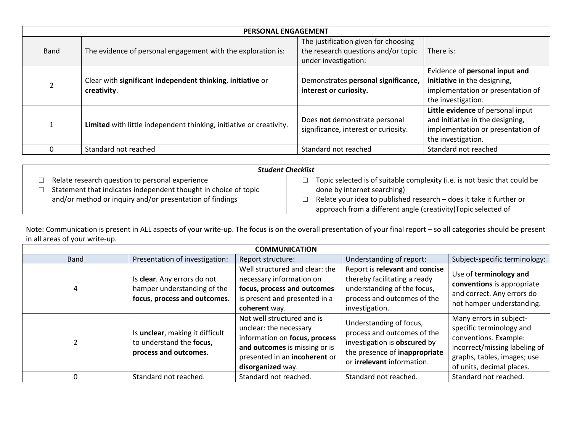| <b>PERSONAL ENGAGEMENT</b> |                                                                           |                                      |                                   |
|----------------------------|---------------------------------------------------------------------------|--------------------------------------|-----------------------------------|
|                            |                                                                           | The justification given for choosing |                                   |
| <b>Band</b>                | The evidence of personal engagement with the exploration is:              | the research questions and/or topic  | There is:                         |
|                            |                                                                           | under investigation:                 |                                   |
|                            |                                                                           |                                      | Evidence of personal input and    |
|                            | Clear with significant independent thinking, initiative or<br>creativity. | Demonstrates personal significance,  | initiative in the designing,      |
|                            |                                                                           | interest or curiosity.               | implementation or presentation of |
|                            |                                                                           |                                      | the investigation.                |
|                            |                                                                           |                                      | Little evidence of personal input |
|                            | Limited with little independent thinking, initiative or creativity.       | Does not demonstrate personal        | and initiative in the designing,  |
|                            |                                                                           | significance, interest or curiosity. | implementation or presentation of |
|                            |                                                                           |                                      | the investigation.                |
|                            | Standard not reached                                                      | Standard not reached                 | Standard not reached              |

| <b>Student Checklist</b>                                        |                                                                           |  |  |
|-----------------------------------------------------------------|---------------------------------------------------------------------------|--|--|
| Relate research question to personal experience                 | Topic selected is of suitable complexity (i.e. is not basic that could be |  |  |
| Statement that indicates independent thought in choice of topic | done by internet searching)                                               |  |  |
| and/or method or inquiry and/or presentation of findings        | Relate your idea to published research – does it take it further or       |  |  |
|                                                                 | approach from a different angle (creativity) Topic selected of            |  |  |

Note: Communication is present in ALL aspects of your write-up. The focus is on the overall presentation of your final report – so all categories should be present in all areas of your write-up.

| <b>COMMUNICATION</b> |                                                                                            |                                                                                                                                                                              |                                                                                                                                                       |                                                                                                                                                                           |
|----------------------|--------------------------------------------------------------------------------------------|------------------------------------------------------------------------------------------------------------------------------------------------------------------------------|-------------------------------------------------------------------------------------------------------------------------------------------------------|---------------------------------------------------------------------------------------------------------------------------------------------------------------------------|
| <b>Band</b>          | Presentation of investigation:                                                             | Report structure:                                                                                                                                                            | Understanding of report:                                                                                                                              | Subject-specific terminology:                                                                                                                                             |
| 4                    | Is clear. Any errors do not<br>hamper understanding of the<br>focus, process and outcomes. | Well structured and clear: the<br>necessary information on<br>focus, process and outcomes<br>is present and presented in a<br>coherent way.                                  | Report is relevant and concise<br>thereby facilitating a ready<br>understanding of the focus,<br>process and outcomes of the<br>investigation.        | Use of terminology and<br>conventions is appropriate<br>and correct. Any errors do<br>not hamper understanding.                                                           |
|                      | Is unclear, making it difficult<br>to understand the focus,<br>process and outcomes.       | Not well structured and is<br>unclear: the necessary<br>information on focus, process<br>and outcomes is missing or is<br>presented in an incoherent or<br>disorganized way. | Understanding of focus,<br>process and outcomes of the<br>investigation is obscured by<br>the presence of inappropriate<br>or irrelevant information. | Many errors in subject-<br>specific terminology and<br>conventions. Example:<br>incorrect/missing labeling of<br>graphs, tables, images; use<br>of units, decimal places. |
| 0                    | Standard not reached.                                                                      | Standard not reached.                                                                                                                                                        | Standard not reached.                                                                                                                                 | Standard not reached.                                                                                                                                                     |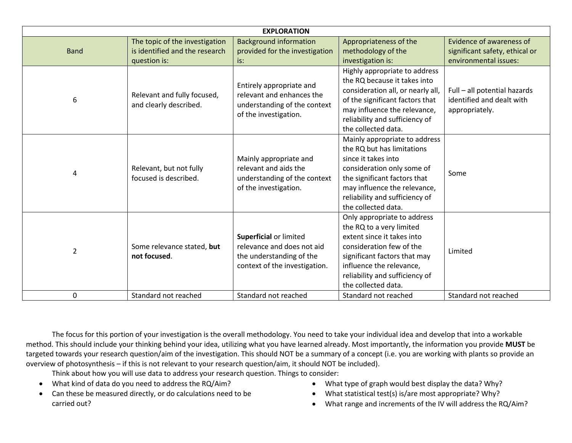| <b>EXPLORATION</b> |                                                       |                                                                                                                   |                                                                                                                                                                                                                                           |                                                                             |
|--------------------|-------------------------------------------------------|-------------------------------------------------------------------------------------------------------------------|-------------------------------------------------------------------------------------------------------------------------------------------------------------------------------------------------------------------------------------------|-----------------------------------------------------------------------------|
|                    | The topic of the investigation                        | <b>Background information</b>                                                                                     | Appropriateness of the                                                                                                                                                                                                                    | Evidence of awareness of                                                    |
| <b>Band</b>        | is identified and the research                        | provided for the investigation                                                                                    | methodology of the                                                                                                                                                                                                                        | significant safety, ethical or                                              |
|                    | question is:                                          | is:                                                                                                               | investigation is:                                                                                                                                                                                                                         | environmental issues:                                                       |
| 6                  | Relevant and fully focused,<br>and clearly described. | Entirely appropriate and<br>relevant and enhances the<br>understanding of the context<br>of the investigation.    | Highly appropriate to address<br>the RQ because it takes into<br>consideration all, or nearly all,<br>of the significant factors that<br>may influence the relevance,<br>reliability and sufficiency of<br>the collected data.            | Full - all potential hazards<br>identified and dealt with<br>appropriately. |
| 4                  | Relevant, but not fully<br>focused is described.      | Mainly appropriate and<br>relevant and aids the<br>understanding of the context<br>of the investigation.          | Mainly appropriate to address<br>the RQ but has limitations<br>since it takes into<br>consideration only some of<br>the significant factors that<br>may influence the relevance,<br>reliability and sufficiency of<br>the collected data. | Some                                                                        |
| 2                  | Some relevance stated, but<br>not focused.            | Superficial or limited<br>relevance and does not aid<br>the understanding of the<br>context of the investigation. | Only appropriate to address<br>the RQ to a very limited<br>extent since it takes into<br>consideration few of the<br>significant factors that may<br>influence the relevance,<br>reliability and sufficiency of<br>the collected data.    | Limited                                                                     |
| 0                  | Standard not reached                                  | Standard not reached                                                                                              | Standard not reached                                                                                                                                                                                                                      | Standard not reached                                                        |

The focus for this portion of your investigation is the overall methodology. You need to take your individual idea and develop that into a workable method. This should include your thinking behind your idea, utilizing what you have learned already. Most importantly, the information you provide **MUST** be targeted towards your research question/aim of the investigation. This should NOT be a summary of a concept (i.e. you are working with plants so provide an overview of photosynthesis – if this is not relevant to your research question/aim, it should NOT be included).

Think about how you will use data to address your research question. Things to consider:

- What kind of data do you need to address the RQ/Aim?
- Can these be measured directly, or do calculations need to be carried out?
- What type of graph would best display the data? Why?
- What statistical test(s) is/are most appropriate? Why?
- What range and increments of the IV will address the RQ/Aim?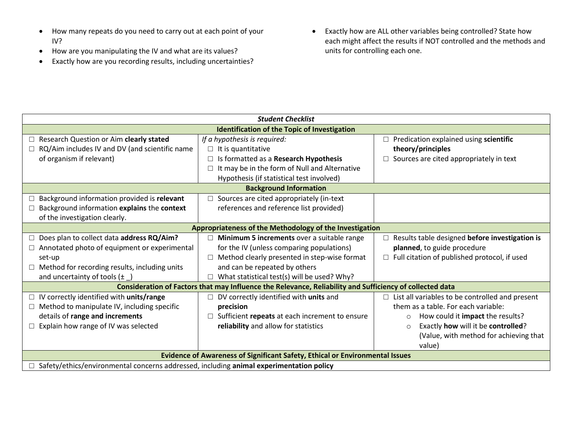- How many repeats do you need to carry out at each point of your IV?
- How are you manipulating the IV and what are its values?
- Exactly how are you recording results, including uncertainties?

 Exactly how are ALL other variables being controlled? State how each might affect the results if NOT controlled and the methods and units for controlling each one.

| <b>Student Checklist</b>                                                                                 |                                                         |                                                        |  |  |
|----------------------------------------------------------------------------------------------------------|---------------------------------------------------------|--------------------------------------------------------|--|--|
| <b>Identification of the Topic of Investigation</b>                                                      |                                                         |                                                        |  |  |
| Research Question or Aim clearly stated                                                                  | If a hypothesis is required:                            | Predication explained using scientific<br>$\Box$       |  |  |
| RQ/Aim includes IV and DV (and scientific name                                                           | $\Box$ It is quantitative                               | theory/principles                                      |  |  |
| of organism if relevant)                                                                                 | $\Box$ Is formatted as a Research Hypothesis            | Sources are cited appropriately in text<br>$\Box$      |  |  |
|                                                                                                          | It may be in the form of Null and Alternative<br>$\Box$ |                                                        |  |  |
|                                                                                                          | Hypothesis (if statistical test involved)               |                                                        |  |  |
|                                                                                                          | <b>Background Information</b>                           |                                                        |  |  |
| Background information provided is relevant<br>$\Box$                                                    | $\Box$ Sources are cited appropriately (in-text         |                                                        |  |  |
| Background information explains the context                                                              | references and reference list provided)                 |                                                        |  |  |
| of the investigation clearly.                                                                            |                                                         |                                                        |  |  |
|                                                                                                          | Appropriateness of the Methodology of the Investigation |                                                        |  |  |
| Does plan to collect data address RQ/Aim?                                                                | Minimum 5 increments over a suitable range              | $\Box$ Results table designed before investigation is  |  |  |
| Annotated photo of equipment or experimental                                                             | for the IV (unless comparing populations)               | planned, to guide procedure                            |  |  |
| set-up                                                                                                   | Method clearly presented in step-wise format<br>$\Box$  | $\Box$ Full citation of published protocol, if used    |  |  |
| Method for recording results, including units<br>$\Box$                                                  | and can be repeated by others                           |                                                        |  |  |
| and uncertainty of tools $(\pm$ )                                                                        | What statistical test(s) will be used? Why?<br>П.       |                                                        |  |  |
| Consideration of Factors that may Influence the Relevance, Reliability and Sufficiency of collected data |                                                         |                                                        |  |  |
| $\Box$ IV correctly identified with units/range                                                          | $\Box$ DV correctly identified with units and           | $\Box$ List all variables to be controlled and present |  |  |
| $\Box$ Method to manipulate IV, including specific                                                       | precision                                               | them as a table. For each variable:                    |  |  |
| details of range and increments                                                                          | Sufficient repeats at each increment to ensure          | How could it impact the results?<br>$\circ$            |  |  |
| Explain how range of IV was selected<br>$\Box$                                                           | reliability and allow for statistics                    | Exactly how will it be controlled?<br>$\circ$          |  |  |
|                                                                                                          |                                                         | (Value, with method for achieving that                 |  |  |
| value)                                                                                                   |                                                         |                                                        |  |  |
| Evidence of Awareness of Significant Safety, Ethical or Environmental Issues                             |                                                         |                                                        |  |  |
| Safety/ethics/environmental concerns addressed, including animal experimentation policy                  |                                                         |                                                        |  |  |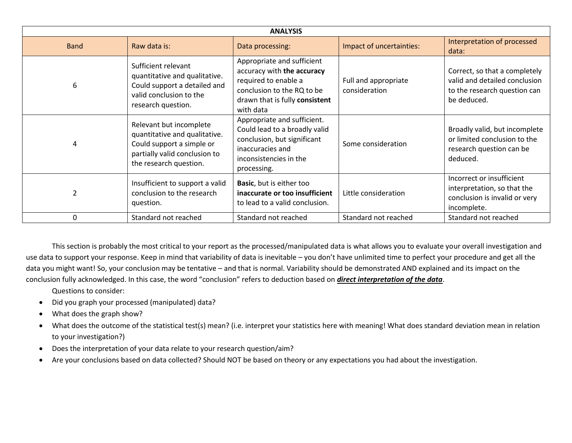| <b>ANALYSIS</b> |                                                                                                                                                  |                                                                                                                                                               |                                       |                                                                                                               |
|-----------------|--------------------------------------------------------------------------------------------------------------------------------------------------|---------------------------------------------------------------------------------------------------------------------------------------------------------------|---------------------------------------|---------------------------------------------------------------------------------------------------------------|
| <b>Band</b>     | Raw data is:                                                                                                                                     | Data processing:                                                                                                                                              | Impact of uncertainties:              | Interpretation of processed<br>data:                                                                          |
| 6               | Sufficient relevant<br>quantitative and qualitative.<br>Could support a detailed and<br>valid conclusion to the<br>research question.            | Appropriate and sufficient<br>accuracy with the accuracy<br>required to enable a<br>conclusion to the RQ to be<br>drawn that is fully consistent<br>with data | Full and appropriate<br>consideration | Correct, so that a completely<br>valid and detailed conclusion<br>to the research question can<br>be deduced. |
| 4               | Relevant but incomplete<br>quantitative and qualitative.<br>Could support a simple or<br>partially valid conclusion to<br>the research question. | Appropriate and sufficient.<br>Could lead to a broadly valid<br>conclusion, but significant<br>inaccuracies and<br>inconsistencies in the<br>processing.      | Some consideration                    | Broadly valid, but incomplete<br>or limited conclusion to the<br>research question can be<br>deduced.         |
| $\overline{2}$  | Insufficient to support a valid<br>conclusion to the research<br>question.                                                                       | <b>Basic</b> , but is either too<br>inaccurate or too insufficient<br>to lead to a valid conclusion.                                                          | Little consideration                  | Incorrect or insufficient<br>interpretation, so that the<br>conclusion is invalid or very<br>incomplete.      |
| $\Omega$        | Standard not reached                                                                                                                             | Standard not reached                                                                                                                                          | Standard not reached                  | Standard not reached                                                                                          |

This section is probably the most critical to your report as the processed/manipulated data is what allows you to evaluate your overall investigation and use data to support your response. Keep in mind that variability of data is inevitable – you don't have unlimited time to perfect your procedure and get all the data you might want! So, your conclusion may be tentative – and that is normal. Variability should be demonstrated AND explained and its impact on the conclusion fully acknowledged. In this case, the word "conclusion" refers to deduction based on *direct interpretation of the data*.

Questions to consider:

- Did you graph your processed (manipulated) data?
- What does the graph show?
- What does the outcome of the statistical test(s) mean? (i.e. interpret your statistics here with meaning! What does standard deviation mean in relation to your investigation?)
- Does the interpretation of your data relate to your research question/aim?
- Are your conclusions based on data collected? Should NOT be based on theory or any expectations you had about the investigation.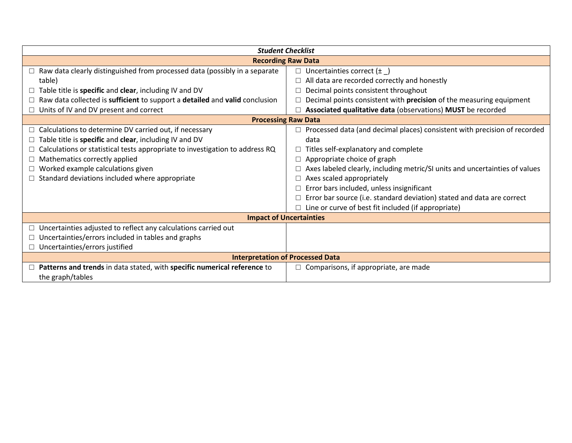| <b>Student Checklist</b>                                                              |                                                                                  |  |  |
|---------------------------------------------------------------------------------------|----------------------------------------------------------------------------------|--|--|
| <b>Recording Raw Data</b>                                                             |                                                                                  |  |  |
| Raw data clearly distinguished from processed data (possibly in a separate<br>$\Box$  | $\Box$ Uncertainties correct ( $\pm$ )                                           |  |  |
| table)                                                                                | $\Box$ All data are recorded correctly and honestly                              |  |  |
| Table title is specific and clear, including IV and DV<br>$\Box$                      | Decimal points consistent throughout                                             |  |  |
| Raw data collected is sufficient to support a detailed and valid conclusion<br>$\Box$ | Decimal points consistent with <b>precision</b> of the measuring equipment       |  |  |
| Units of IV and DV present and correct                                                | Associated qualitative data (observations) MUST be recorded                      |  |  |
|                                                                                       | <b>Processing Raw Data</b>                                                       |  |  |
| Calculations to determine DV carried out, if necessary                                | $\Box$ Processed data (and decimal places) consistent with precision of recorded |  |  |
| Table title is specific and clear, including IV and DV                                | data                                                                             |  |  |
| Calculations or statistical tests appropriate to investigation to address RQ          | Titles self-explanatory and complete                                             |  |  |
| Mathematics correctly applied                                                         | Appropriate choice of graph<br>$\Box$                                            |  |  |
| Worked example calculations given                                                     | Axes labeled clearly, including metric/SI units and uncertainties of values      |  |  |
| Standard deviations included where appropriate                                        | $\Box$ Axes scaled appropriately                                                 |  |  |
|                                                                                       | $\Box$ Error bars included, unless insignificant                                 |  |  |
|                                                                                       | $\Box$ Error bar source (i.e. standard deviation) stated and data are correct    |  |  |
|                                                                                       | $\Box$ Line or curve of best fit included (if appropriate)                       |  |  |
| <b>Impact of Uncertainties</b>                                                        |                                                                                  |  |  |
| Uncertainties adjusted to reflect any calculations carried out                        |                                                                                  |  |  |
| Uncertainties/errors included in tables and graphs                                    |                                                                                  |  |  |
| Uncertainties/errors justified                                                        |                                                                                  |  |  |
|                                                                                       | <b>Interpretation of Processed Data</b>                                          |  |  |
| Patterns and trends in data stated, with specific numerical reference to<br>$\Box$    | $\Box$ Comparisons, if appropriate, are made                                     |  |  |
| the graph/tables                                                                      |                                                                                  |  |  |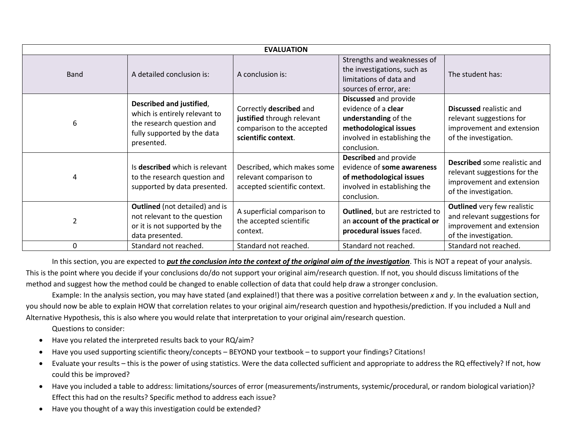| <b>EVALUATION</b> |                                                                                                                                     |                                                                                                            |                                                                                                                                              |                                                                                                                           |
|-------------------|-------------------------------------------------------------------------------------------------------------------------------------|------------------------------------------------------------------------------------------------------------|----------------------------------------------------------------------------------------------------------------------------------------------|---------------------------------------------------------------------------------------------------------------------------|
| <b>Band</b>       | A detailed conclusion is:                                                                                                           | A conclusion is:                                                                                           | Strengths and weaknesses of<br>the investigations, such as<br>limitations of data and<br>sources of error, are:                              | The student has:                                                                                                          |
| 6                 | Described and justified,<br>which is entirely relevant to<br>the research question and<br>fully supported by the data<br>presented. | Correctly described and<br>justified through relevant<br>comparison to the accepted<br>scientific context. | Discussed and provide<br>evidence of a clear<br>understanding of the<br>methodological issues<br>involved in establishing the<br>conclusion. | <b>Discussed realistic and</b><br>relevant suggestions for<br>improvement and extension<br>of the investigation.          |
| 4                 | Is described which is relevant<br>to the research question and<br>supported by data presented.                                      | Described, which makes some<br>relevant comparison to<br>accepted scientific context.                      | <b>Described</b> and provide<br>evidence of some awareness<br>of methodological issues<br>involved in establishing the<br>conclusion.        | <b>Described</b> some realistic and<br>relevant suggestions for the<br>improvement and extension<br>of the investigation. |
| $\overline{2}$    | <b>Outlined</b> (not detailed) and is<br>not relevant to the question<br>or it is not supported by the<br>data presented.           | A superficial comparison to<br>the accepted scientific<br>context.                                         | Outlined, but are restricted to<br>an account of the practical or<br>procedural issues faced.                                                | <b>Outlined very few realistic</b><br>and relevant suggestions for<br>improvement and extension<br>of the investigation.  |
| 0                 | Standard not reached.                                                                                                               | Standard not reached.                                                                                      | Standard not reached.                                                                                                                        | Standard not reached.                                                                                                     |

In this section, you are expected to *put the conclusion into the context of the original aim of the investigation*. This is NOT a repeat of your analysis. This is the point where you decide if your conclusions do/do not support your original aim/research question. If not, you should discuss limitations of the method and suggest how the method could be changed to enable collection of data that could help draw a stronger conclusion.

Example: In the analysis section, you may have stated (and explained!) that there was a positive correlation between *x* and *y*. In the evaluation section, you should now be able to explain HOW that correlation relates to your original aim/research question and hypothesis/prediction. If you included a Null and Alternative Hypothesis, this is also where you would relate that interpretation to your original aim/research question.

Questions to consider:

- Have you related the interpreted results back to your RQ/aim?
- Have you used supporting scientific theory/concepts BEYOND your textbook to support your findings? Citations!
- Evaluate your results this is the power of using statistics. Were the data collected sufficient and appropriate to address the RQ effectively? If not, how could this be improved?
- Have you included a table to address: limitations/sources of error (measurements/instruments, systemic/procedural, or random biological variation)? Effect this had on the results? Specific method to address each issue?
- Have you thought of a way this investigation could be extended?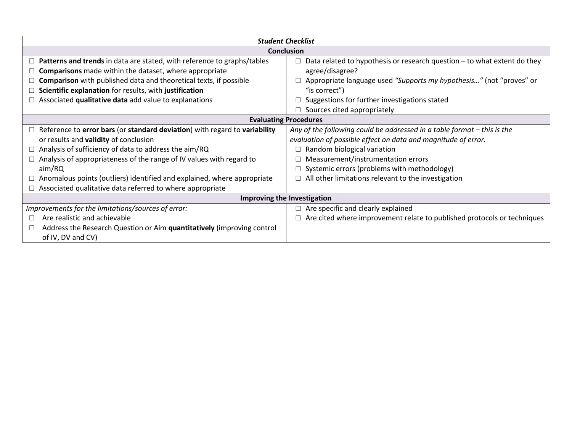| <b>Student Checklist</b>                                                          |                                                                                 |  |  |
|-----------------------------------------------------------------------------------|---------------------------------------------------------------------------------|--|--|
| <b>Conclusion</b>                                                                 |                                                                                 |  |  |
| Patterns and trends in data are stated, with reference to graphs/tables<br>$\Box$ | $\Box$ Data related to hypothesis or research question - to what extent do they |  |  |
| <b>Comparisons</b> made within the dataset, where appropriate                     | agree/disagree?                                                                 |  |  |
| <b>Comparison</b> with published data and theoretical texts, if possible          | $\Box$ Appropriate language used "Supports my hypothesis" (not "proves" or      |  |  |
| Scientific explanation for results, with justification<br>$\Box$                  | "is correct")                                                                   |  |  |
| $\Box$ Associated qualitative data add value to explanations                      | $\Box$ Suggestions for further investigations stated                            |  |  |
|                                                                                   | $\Box$ Sources cited appropriately                                              |  |  |
| <b>Evaluating Procedures</b>                                                      |                                                                                 |  |  |
| $\Box$ Reference to error bars (or standard deviation) with regard to variability | Any of the following could be addressed in a table format $-$ this is the       |  |  |
| or results and <b>validity</b> of conclusion                                      | evaluation of possible effect on data and magnitude of error.                   |  |  |
| $\Box$ Analysis of sufficiency of data to address the aim/RQ                      | $\Box$ Random biological variation                                              |  |  |
| Analysis of appropriateness of the range of IV values with regard to<br>$\Box$    | $\Box$ Measurement/instrumentation errors                                       |  |  |
| aim/RQ                                                                            | $\Box$ Systemic errors (problems with methodology)                              |  |  |
| Anomalous points (outliers) identified and explained, where appropriate<br>$\Box$ | $\Box$ All other limitations relevant to the investigation                      |  |  |
| $\Box$ Associated qualitative data referred to where appropriate                  |                                                                                 |  |  |
| Improving the Investigation                                                       |                                                                                 |  |  |
| Improvements for the limitations/sources of error:                                | $\Box$ Are specific and clearly explained                                       |  |  |
| Are realistic and achievable<br>П                                                 | $\Box$ Are cited where improvement relate to published protocols or techniques  |  |  |
| Address the Research Question or Aim quantitatively (improving control<br>⊔       |                                                                                 |  |  |
| of IV, DV and CV)                                                                 |                                                                                 |  |  |